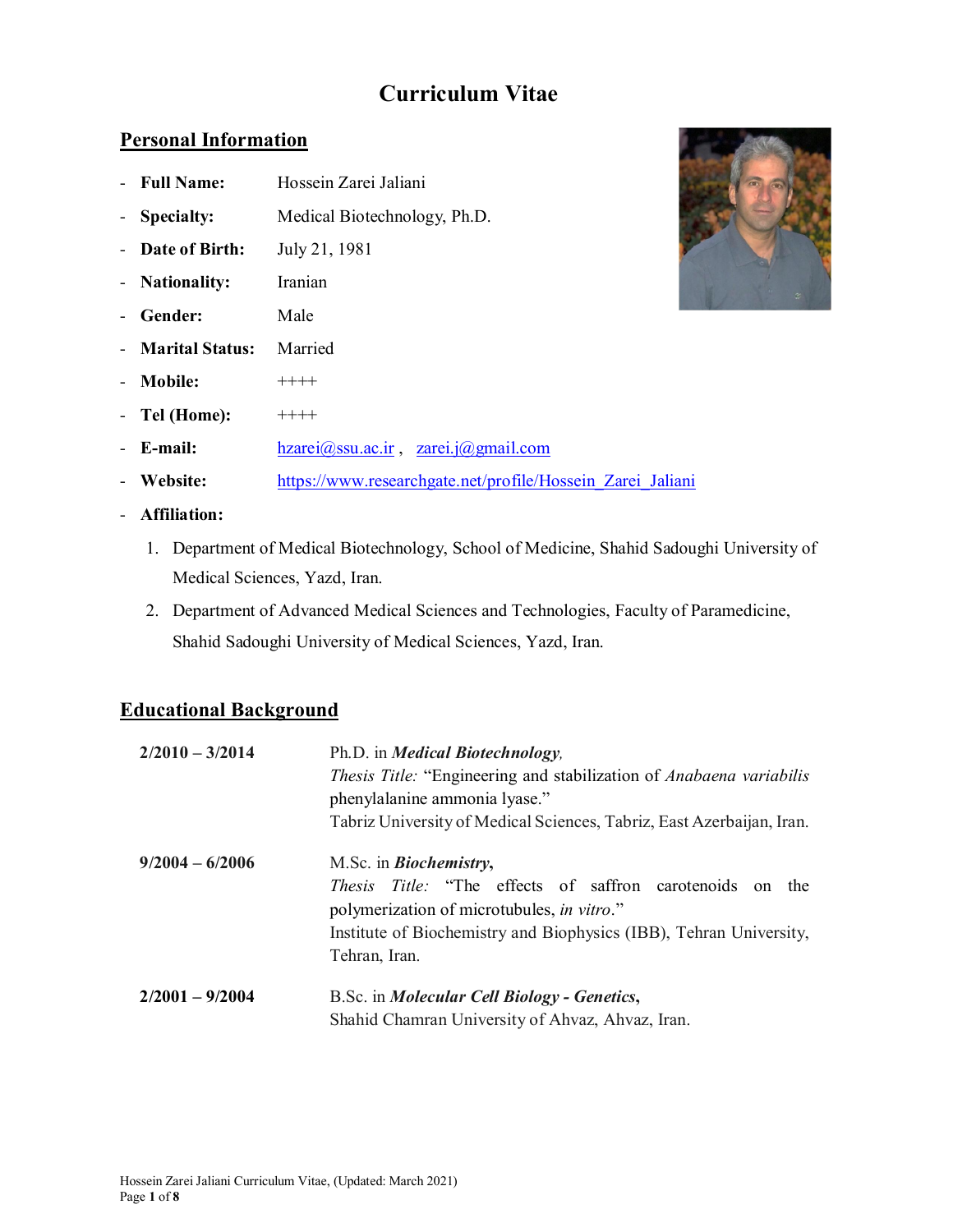# **Curriculum Vitae**

### **Personal Information**

- **Full Name:** Hossein Zarei Jaliani
- **Specialty:** Medical Biotechnology, Ph.D.
- **Date of Birth:** July 21, 1981
- **Nationality:** Iranian
- **Gender:** Male
- **Marital Status:** Married
- **Mobile:**  $***++$
- **Tel (Home):**  $++++$
- **E-mail:** hzarei@ssu.ac.ir , zarei.j@gmail.com
- Website: https://www.researchgate.net/profile/Hossein Zarei Jaliani
- **Affiliation:**
	- 1. Department of Medical Biotechnology, School of Medicine, Shahid Sadoughi University of Medical Sciences, Yazd, Iran.
	- 2. Department of Advanced Medical Sciences and Technologies, Faculty of Paramedicine, Shahid Sadoughi University of Medical Sciences, Yazd, Iran.

## **Educational Background**

| $2/2010 - 3/2014$ | Ph.D. in <i>Medical Biotechnology</i> ,<br><i>Thesis Title:</i> "Engineering and stabilization of <i>Anabaena variabilis</i><br>phenylalanine ammonia lyase."<br>Tabriz University of Medical Sciences, Tabriz, East Azerbaijan, Iran. |
|-------------------|----------------------------------------------------------------------------------------------------------------------------------------------------------------------------------------------------------------------------------------|
| $9/2004 - 6/2006$ | M.Sc. in <i>Biochemistry</i> ,<br><i>Thesis Title:</i> "The effects of saffron carotenoids on the<br>polymerization of microtubules, in vitro."<br>Institute of Biochemistry and Biophysics (IBB), Tehran University,<br>Tehran, Iran. |
| $2/2001 - 9/2004$ | B.Sc. in <i>Molecular Cell Biology - Genetics</i> ,<br>Shahid Chamran University of Ahvaz, Ahvaz, Iran.                                                                                                                                |

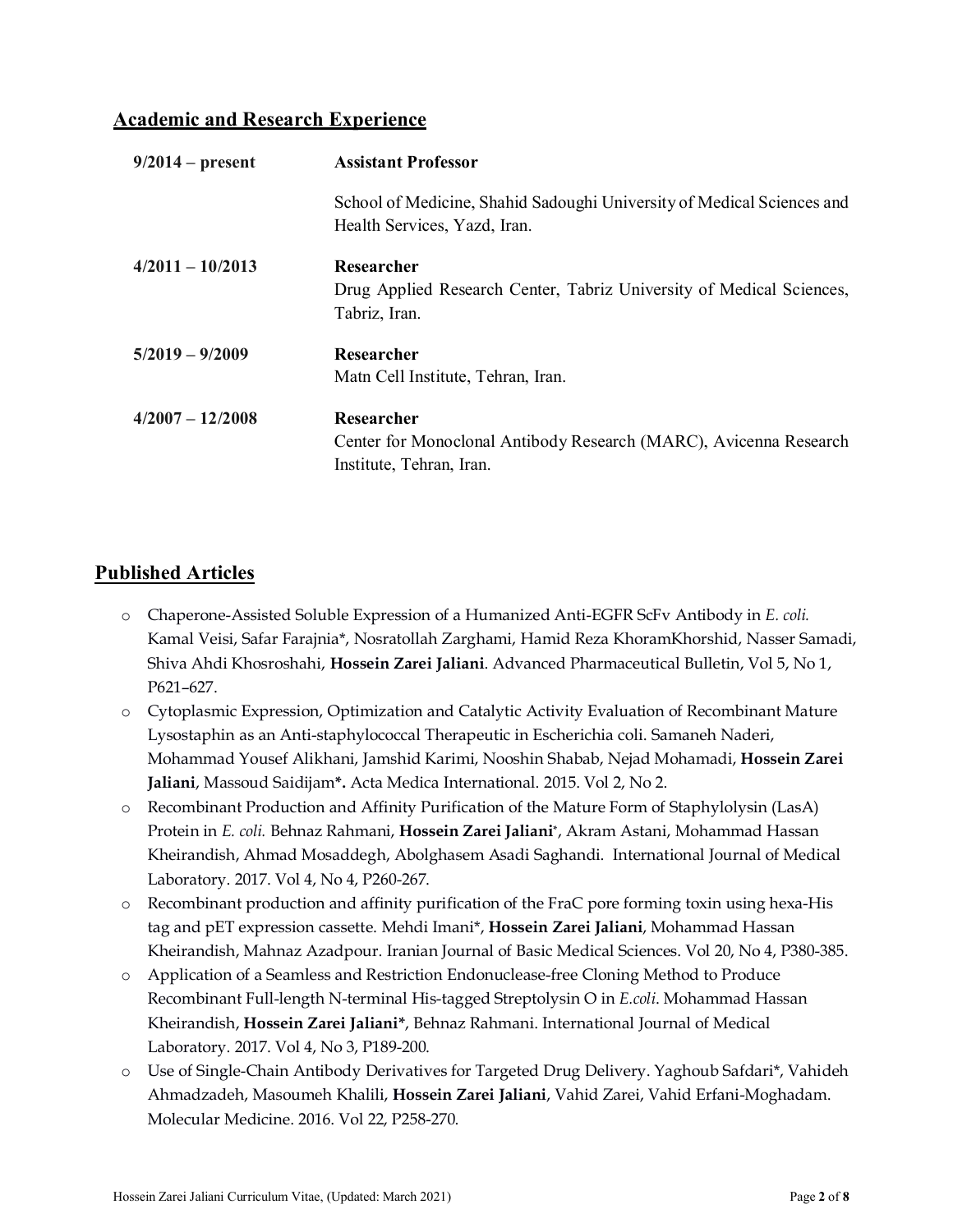### **Academic and Research Experience**

| $9/2014$ – present | <b>Assistant Professor</b>                                                                                  |
|--------------------|-------------------------------------------------------------------------------------------------------------|
|                    | School of Medicine, Shahid Sadoughi University of Medical Sciences and<br>Health Services, Yazd, Iran.      |
| $4/2011 - 10/2013$ | Researcher<br>Drug Applied Research Center, Tabriz University of Medical Sciences,<br>Tabriz, Iran.         |
| $5/2019 - 9/2009$  | Researcher<br>Math Cell Institute, Tehran, Iran.                                                            |
| $4/2007 - 12/2008$ | Researcher<br>Center for Monoclonal Antibody Research (MARC), Avicenna Research<br>Institute, Tehran, Iran. |

### **Published Articles**

- o Chaperone-Assisted Soluble Expression of a Humanized Anti-EGFR ScFv Antibody in *E. coli.*  Kamal Veisi, Safar Farajnia\*, Nosratollah Zarghami, Hamid Reza KhoramKhorshid, Nasser Samadi, Shiva Ahdi Khosroshahi, **Hossein Zarei Jaliani**. Advanced Pharmaceutical Bulletin, Vol 5, No 1, P621–627.
- o Cytoplasmic Expression, Optimization and Catalytic Activity Evaluation of Recombinant Mature Lysostaphin as an Anti-staphylococcal Therapeutic in Escherichia coli. Samaneh Naderi, Mohammad Yousef Alikhani, Jamshid Karimi, Nooshin Shabab, Nejad Mohamadi, **Hossein Zarei Jaliani**, Massoud Saidijam**\*.** Acta Medica International. 2015. Vol 2, No 2.
- o Recombinant Production and Affinity Purification of the Mature Form of Staphylolysin (LasA) Protein in *E. coli.* Behnaz Rahmani, **Hossein Zarei Jaliani\***, Akram Astani, Mohammad Hassan Kheirandish, Ahmad Mosaddegh, Abolghasem Asadi Saghandi. International Journal of Medical Laboratory. 2017. Vol 4, No 4, P260-267.
- o Recombinant production and affinity purification of the FraC pore forming toxin using hexa-His tag and pET expression cassette. Mehdi Imani\*, **Hossein Zarei Jaliani**, Mohammad Hassan Kheirandish, Mahnaz Azadpour. Iranian Journal of Basic Medical Sciences. Vol 20, No 4, P380-385.
- o Application of a Seamless and Restriction Endonuclease-free Cloning Method to Produce Recombinant Full-length N-terminal His-tagged Streptolysin O in *E.coli*. Mohammad Hassan Kheirandish, **Hossein Zarei Jaliani\***, Behnaz Rahmani. International Journal of Medical Laboratory. 2017. Vol 4, No 3, P189-200.
- o Use of Single-Chain Antibody Derivatives for Targeted Drug Delivery. Yaghoub Safdari\*, Vahideh Ahmadzadeh, Masoumeh Khalili, **Hossein Zarei Jaliani**, Vahid Zarei, Vahid Erfani-Moghadam. Molecular Medicine. 2016. Vol 22, P258-270.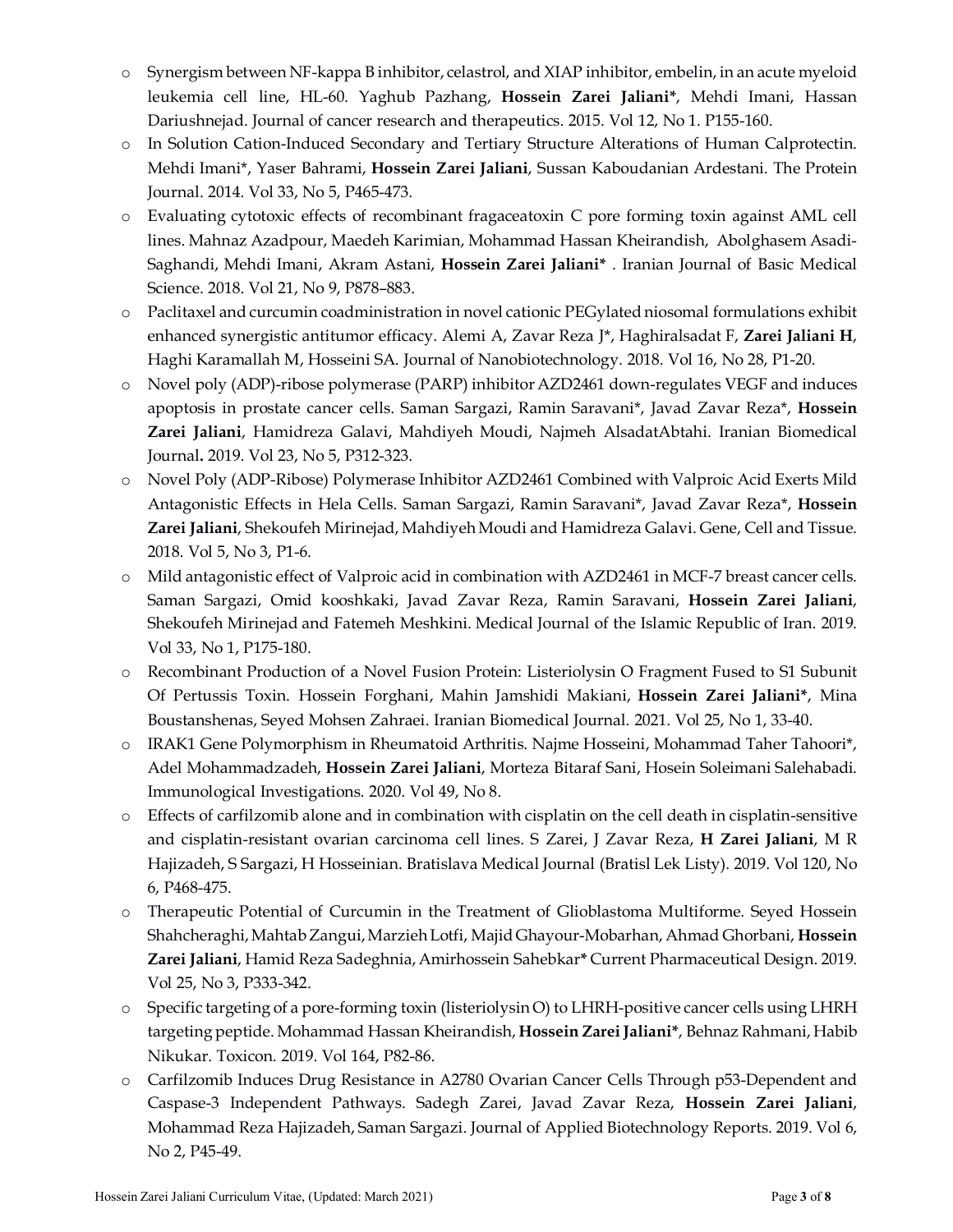- o Synergism between NF-kappa B inhibitor, celastrol, and XIAP inhibitor, embelin, in an acute myeloid leukemia cell line, HL-60. Yaghub Pazhang, **Hossein Zarei Jaliani\***, Mehdi Imani, Hassan Dariushnejad. Journal of cancer research and therapeutics. 2015. Vol 12, No 1. P155-160.
- o In Solution Cation-Induced Secondary and Tertiary Structure Alterations of Human Calprotectin. Mehdi Imani\*, Yaser Bahrami, **Hossein Zarei Jaliani**, Sussan Kaboudanian Ardestani. The Protein Journal. 2014. Vol 33, No 5, P465-473.
- o Evaluating cytotoxic effects of recombinant fragaceatoxin C pore forming toxin against AML cell lines. Mahnaz Azadpour, Maedeh Karimian, Mohammad Hassan Kheirandish, Abolghasem Asadi-Saghandi, Mehdi Imani, Akram Astani, **Hossein Zarei Jaliani\*** . Iranian Journal of Basic Medical Science. 2018. Vol 21, No 9, P878–883.
- o Paclitaxel and curcumin coadministration in novel cationic PEGylated niosomal formulations exhibit enhanced synergistic antitumor efficacy. Alemi A, Zavar Reza J\*, Haghiralsadat F, **Zarei Jaliani H**, Haghi Karamallah M, Hosseini SA. Journal of Nanobiotechnology. 2018. Vol 16, No 28, P1-20.
- o Novel poly (ADP)-ribose polymerase (PARP) inhibitor AZD2461 down-regulates VEGF and induces apoptosis in prostate cancer cells. Saman Sargazi, Ramin Saravani\*, Javad Zavar Reza\*, **Hossein Zarei Jaliani**, Hamidreza Galavi, Mahdiyeh Moudi, Najmeh AlsadatAbtahi. Iranian Biomedical Journal**.** 2019. Vol 23, No 5, P312-323.
- o Novel Poly (ADP-Ribose) Polymerase Inhibitor AZD2461 Combined with Valproic Acid Exerts Mild Antagonistic Effects in Hela Cells. Saman Sargazi, Ramin Saravani\*, Javad Zavar Reza\*, **Hossein Zarei Jaliani**, Shekoufeh Mirinejad, Mahdiyeh Moudi and Hamidreza Galavi. Gene, Cell and Tissue. 2018. Vol 5, No 3, P1-6.
- o Mild antagonistic effect of Valproic acid in combination with AZD2461 in MCF-7 breast cancer cells. Saman Sargazi, Omid kooshkaki, Javad Zavar Reza, Ramin Saravani, **Hossein Zarei Jaliani**, Shekoufeh Mirinejad and Fatemeh Meshkini. Medical Journal of the Islamic Republic of Iran. 2019. Vol 33, No 1, P175-180.
- o Recombinant Production of a Novel Fusion Protein: Listeriolysin O Fragment Fused to S1 Subunit Of Pertussis Toxin. Hossein Forghani, Mahin Jamshidi Makiani, **Hossein Zarei Jaliani\***, Mina Boustanshenas, Seyed Mohsen Zahraei. Iranian Biomedical Journal. 2021. Vol 25, No 1, 33-40.
- o IRAK1 Gene Polymorphism in Rheumatoid Arthritis. Najme Hosseini, Mohammad Taher Tahoori\*, Adel Mohammadzadeh, **Hossein Zarei Jaliani**, Morteza Bitaraf Sani, Hosein Soleimani Salehabadi. Immunological Investigations. 2020. Vol 49, No 8.
- o Effects of carfilzomib alone and in combination with cisplatin on the cell death in cisplatin-sensitive and cisplatin-resistant ovarian carcinoma cell lines. S Zarei, J Zavar Reza, **H Zarei Jaliani**, M R Hajizadeh, S Sargazi, H Hosseinian. Bratislava Medical Journal (Bratisl Lek Listy). 2019. Vol 120, No 6, P468-475.
- o Therapeutic Potential of Curcumin in the Treatment of Glioblastoma Multiforme. Seyed Hossein Shahcheraghi, Mahtab Zangui, Marzieh Lotfi, Majid Ghayour-Mobarhan, Ahmad Ghorbani, **Hossein Zarei Jaliani**, Hamid Reza Sadeghnia, Amirhossein Sahebkar**\*** Current Pharmaceutical Design. 2019. Vol 25, No 3, P333-342.
- o Specific targeting of a pore-forming toxin (listeriolysin O) to LHRH-positive cancer cells using LHRH targeting peptide. Mohammad Hassan Kheirandish, **Hossein Zarei Jaliani\***, Behnaz Rahmani, Habib Nikukar. Toxicon. 2019. Vol 164, P82-86.
- o Carfilzomib Induces Drug Resistance in A2780 Ovarian Cancer Cells Through p53-Dependent and Caspase-3 Independent Pathways. Sadegh Zarei, Javad Zavar Reza, **Hossein Zarei Jaliani**, Mohammad Reza Hajizadeh, Saman Sargazi. Journal of Applied Biotechnology Reports. 2019. Vol 6, No 2, P45-49.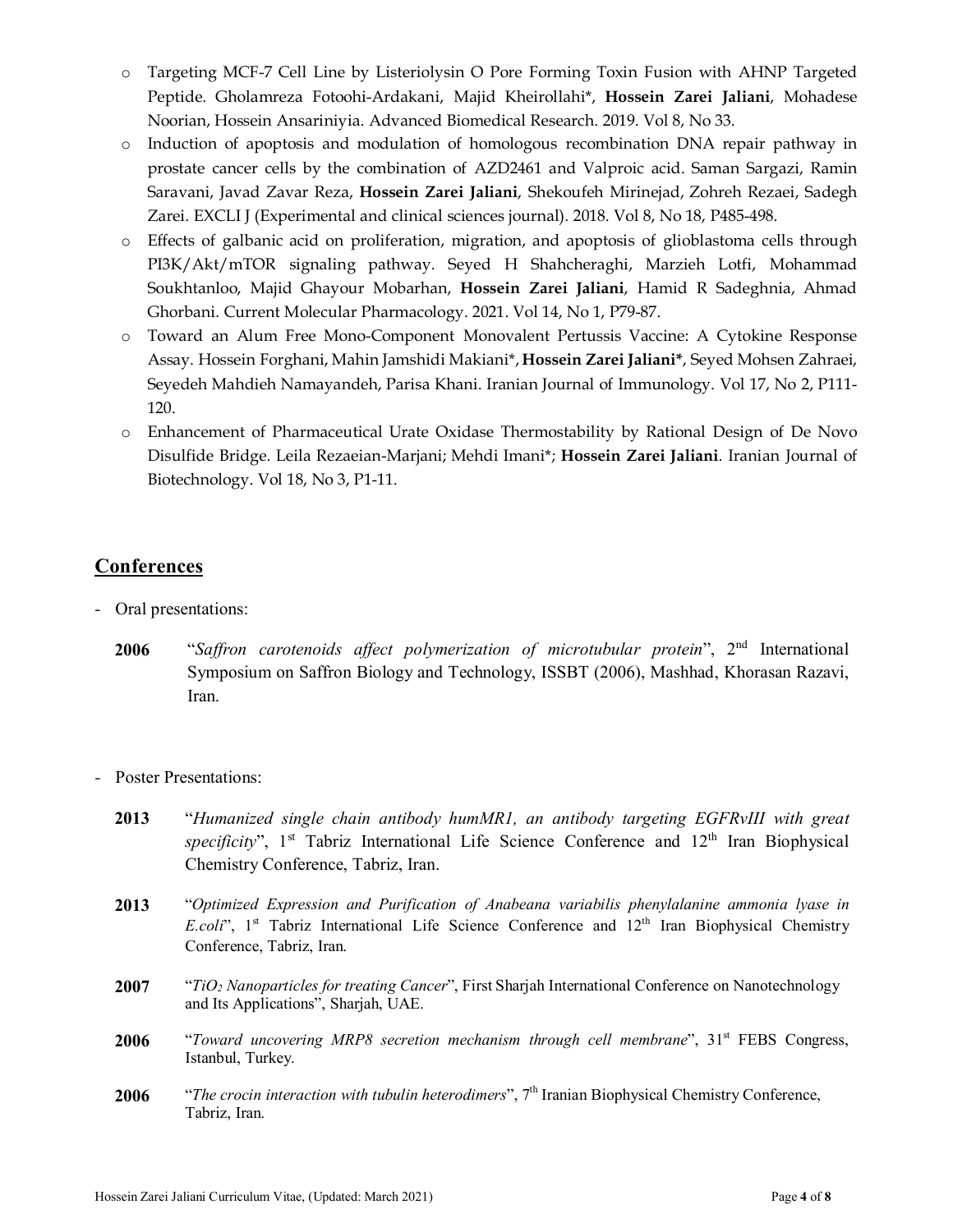- o Targeting MCF-7 Cell Line by Listeriolysin O Pore Forming Toxin Fusion with AHNP Targeted Peptide. Gholamreza Fotoohi-Ardakani, Majid Kheirollahi\*, **Hossein Zarei Jaliani**, Mohadese Noorian, Hossein Ansariniyia. Advanced Biomedical Research. 2019. Vol 8, No 33.
- o Induction of apoptosis and modulation of homologous recombination DNA repair pathway in prostate cancer cells by the combination of AZD2461 and Valproic acid. Saman Sargazi, Ramin Saravani, Javad Zavar Reza, **Hossein Zarei Jaliani**, Shekoufeh Mirinejad, Zohreh Rezaei, Sadegh Zarei. EXCLI J (Experimental and clinical sciences journal). 2018. Vol 8, No 18, P485-498.
- o Effects of galbanic acid on proliferation, migration, and apoptosis of glioblastoma cells through PI3K/Akt/mTOR signaling pathway. Seyed H Shahcheraghi, Marzieh Lotfi, Mohammad Soukhtanloo, Majid Ghayour Mobarhan, **Hossein Zarei Jaliani**, Hamid R Sadeghnia, Ahmad Ghorbani. Current Molecular Pharmacology. 2021. Vol 14, No 1, P79-87.
- o Toward an Alum Free Mono-Component Monovalent Pertussis Vaccine: A Cytokine Response Assay. Hossein Forghani, Mahin Jamshidi Makiani\*, **Hossein Zarei Jaliani\***, Seyed Mohsen Zahraei, Seyedeh Mahdieh Namayandeh, Parisa Khani. Iranian Journal of Immunology. Vol 17, No 2, P111- 120.
- o Enhancement of Pharmaceutical Urate Oxidase Thermostability by Rational Design of De Novo Disulfide Bridge. Leila Rezaeian-Marjani; Mehdi Imani\*; **Hossein Zarei Jaliani**. Iranian Journal of Biotechnology. Vol 18, No 3, P1-11.

### **Conferences**

- Oral presentations:
	- **2006** "*Saffron carotenoids affect polymerization of microtubular protein*", 2nd International Symposium on Saffron Biology and Technology, ISSBT (2006), Mashhad, Khorasan Razavi, Iran.
- Poster Presentations:
	- **2013** "*Humanized single chain antibody humMR1, an antibody targeting EGFRvIII with great*  specificity", 1<sup>st</sup> Tabriz International Life Science Conference and 12<sup>th</sup> Iran Biophysical Chemistry Conference, Tabriz, Iran.
	- **2013** "*Optimized Expression and Purification of Anabeana variabilis phenylalanine ammonia lyase in E.coli*", 1<sup>st</sup> Tabriz International Life Science Conference and 12<sup>th</sup> Iran Biophysical Chemistry Conference, Tabriz, Iran.
	- **2007** "*TiO2 Nanoparticles for treating Cancer*", First Sharjah International Conference on Nanotechnology and Its Applications", Sharjah, UAE.
	- 2006 "*Toward uncovering MRP8 secretion mechanism through cell membrane*", 31<sup>st</sup> FEBS Congress, Istanbul, Turkey.
	- 2006 *"The crocin interaction with tubulin heterodimers"*, 7<sup>th</sup> Iranian Biophysical Chemistry Conference, Tabriz, Iran.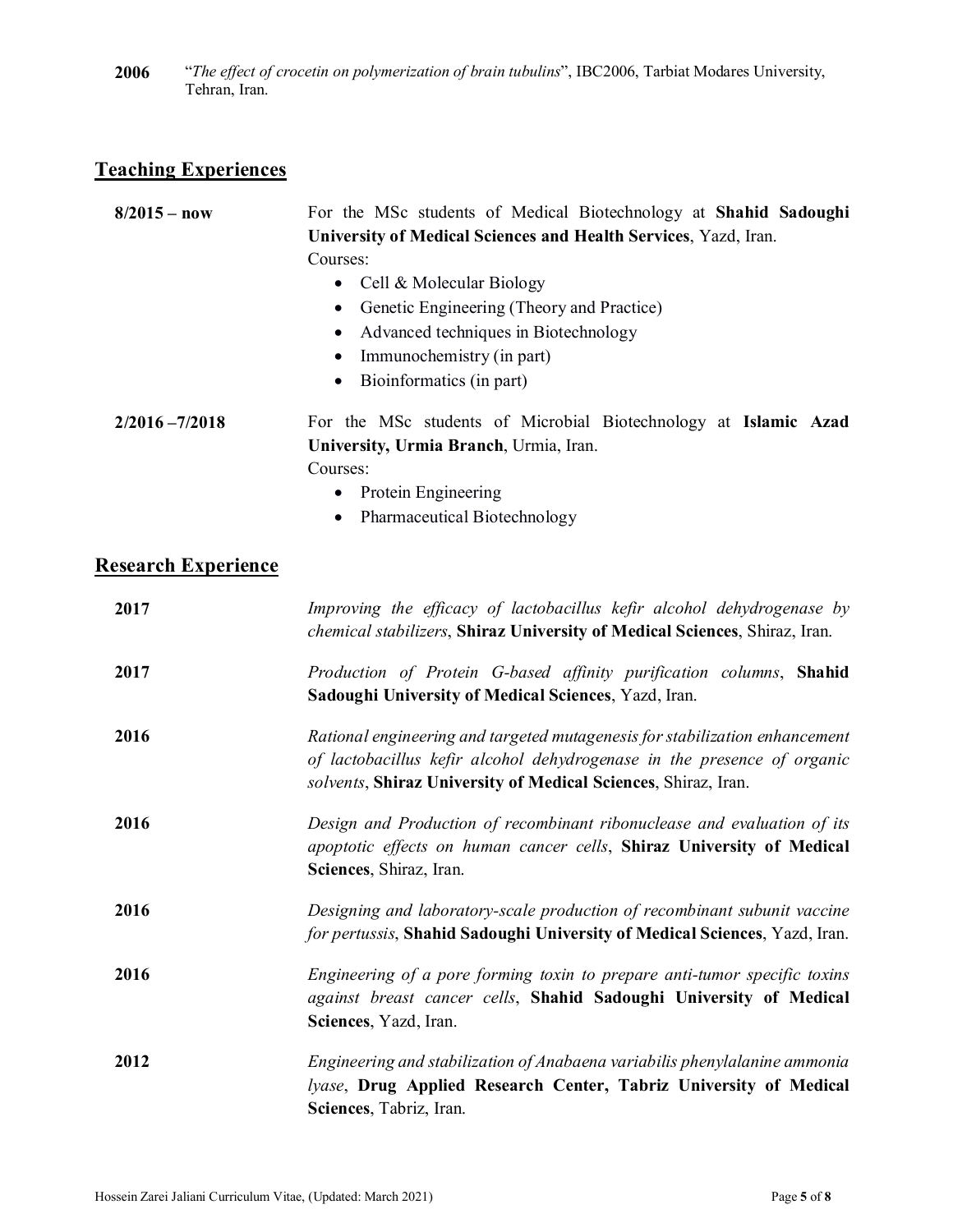**2006** "*The effect of crocetin on polymerization of brain tubulins*", IBC2006, Tarbiat Modares University, Tehran, Iran.

## **Teaching Experiences**

| $8/2015 - now$             | For the MSc students of Medical Biotechnology at Shahid Sadoughi<br>University of Medical Sciences and Health Services, Yazd, Iran.<br>Courses:<br>Cell & Molecular Biology<br>$\bullet$<br>Genetic Engineering (Theory and Practice)<br>$\bullet$<br>Advanced techniques in Biotechnology<br>$\bullet$<br>Immunochemistry (in part)<br>Bioinformatics (in part) |
|----------------------------|------------------------------------------------------------------------------------------------------------------------------------------------------------------------------------------------------------------------------------------------------------------------------------------------------------------------------------------------------------------|
| $2/2016 - 7/2018$          | For the MSc students of Microbial Biotechnology at Islamic Azad<br>University, Urmia Branch, Urmia, Iran.<br>Courses:<br>Protein Engineering<br>Pharmaceutical Biotechnology<br>$\bullet$                                                                                                                                                                        |
| <b>Research Experience</b> |                                                                                                                                                                                                                                                                                                                                                                  |
| 2017                       | Improving the efficacy of lactobacillus kefir alcohol dehydrogenase by<br>chemical stabilizers, Shiraz University of Medical Sciences, Shiraz, Iran.                                                                                                                                                                                                             |
| 2017                       | Production of Protein G-based affinity purification columns, Shahid<br>Sadoughi University of Medical Sciences, Yazd, Iran.                                                                                                                                                                                                                                      |
| 2016                       | Rational engineering and targeted mutagenesis for stabilization enhancement<br>of lactobacillus kefir alcohol dehydrogenase in the presence of organic<br>solvents, Shiraz University of Medical Sciences, Shiraz, Iran.                                                                                                                                         |
| 2016                       | Design and Production of recombinant ribonuclease and evaluation of its<br>apoptotic effects on human cancer cells, Shiraz University of Medical<br>Sciences, Shiraz, Iran.                                                                                                                                                                                      |
| 2016                       | Designing and laboratory-scale production of recombinant subunit vaccine<br>for pertussis, Shahid Sadoughi University of Medical Sciences, Yazd, Iran.                                                                                                                                                                                                           |
| 2016                       | Engineering of a pore forming toxin to prepare anti-tumor specific toxins<br>against breast cancer cells, Shahid Sadoughi University of Medical<br>Sciences, Yazd, Iran.                                                                                                                                                                                         |
| 2012                       | Engineering and stabilization of Anabaena variabilis phenylalanine ammonia<br>lyase, Drug Applied Research Center, Tabriz University of Medical<br>Sciences, Tabriz, Iran.                                                                                                                                                                                       |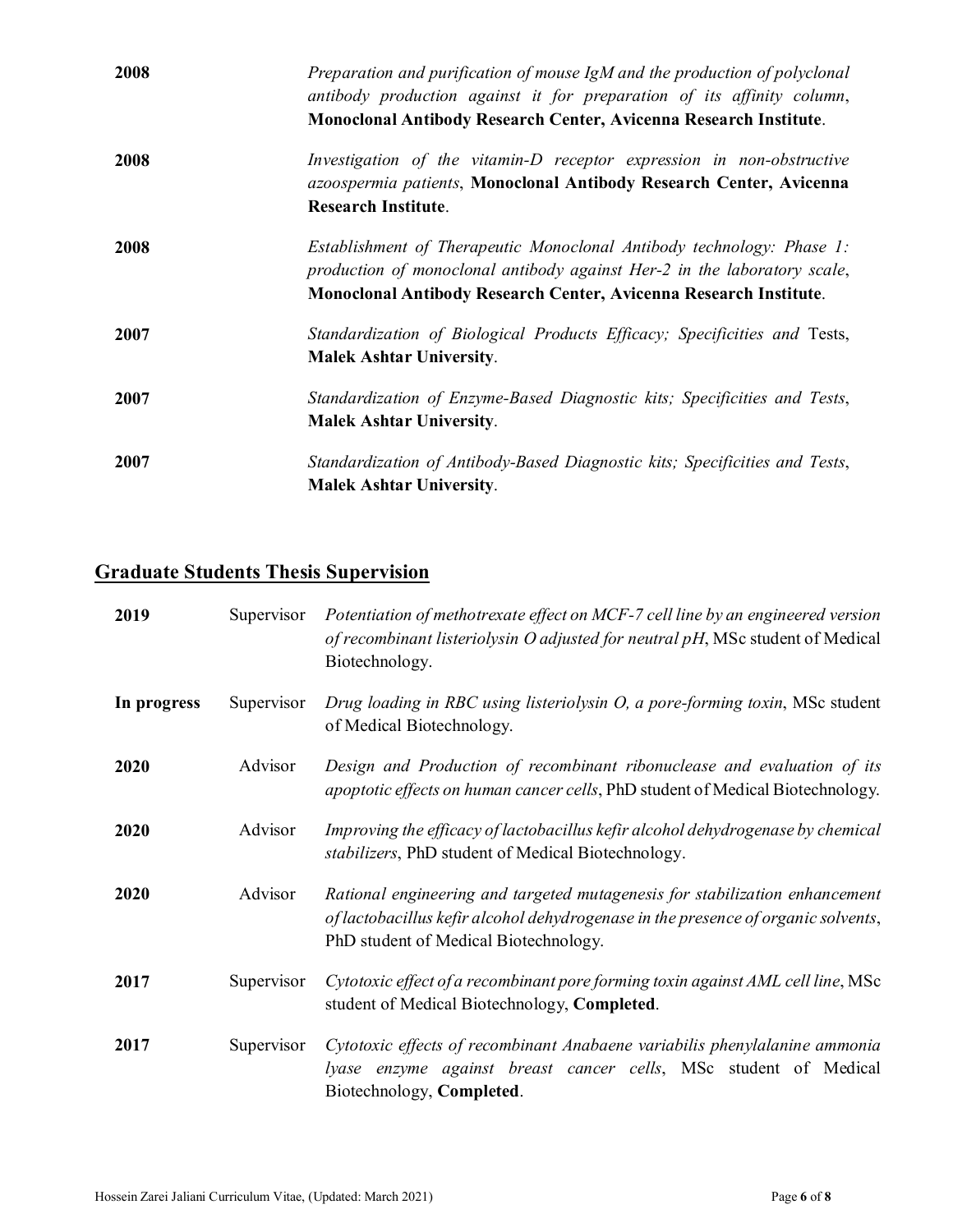| 2008 | Preparation and purification of mouse IgM and the production of polyclonal<br>antibody production against it for preparation of its affinity column,<br>Monoclonal Antibody Research Center, Avicenna Research Institute. |
|------|---------------------------------------------------------------------------------------------------------------------------------------------------------------------------------------------------------------------------|
| 2008 | Investigation of the vitamin-D receptor expression in non-obstructive<br>azoospermia patients, Monoclonal Antibody Research Center, Avicenna<br><b>Research Institute.</b>                                                |
| 2008 | Establishment of Therapeutic Monoclonal Antibody technology: Phase 1:<br>production of monoclonal antibody against Her-2 in the laboratory scale,<br>Monoclonal Antibody Research Center, Avicenna Research Institute.    |
| 2007 | Standardization of Biological Products Efficacy; Specificities and Tests,<br><b>Malek Ashtar University.</b>                                                                                                              |
| 2007 | Standardization of Enzyme-Based Diagnostic kits; Specificities and Tests,<br><b>Malek Ashtar University.</b>                                                                                                              |
| 2007 | Standardization of Antibody-Based Diagnostic kits; Specificities and Tests,<br><b>Malek Ashtar University.</b>                                                                                                            |

# **Graduate Students Thesis Supervision**

| 2019        | Supervisor | Potentiation of methotrexate effect on MCF-7 cell line by an engineered version<br>of recombinant listeriolysin O adjusted for neutral pH, MSc student of Medical<br>Biotechnology.                       |
|-------------|------------|-----------------------------------------------------------------------------------------------------------------------------------------------------------------------------------------------------------|
| In progress | Supervisor | Drug loading in RBC using listeriolysin O, a pore-forming toxin, MSc student<br>of Medical Biotechnology.                                                                                                 |
| 2020        | Advisor    | Design and Production of recombinant ribonuclease and evaluation of its<br>apoptotic effects on human cancer cells, PhD student of Medical Biotechnology.                                                 |
| 2020        | Advisor    | Improving the efficacy of lactobacillus kefir alcohol dehydrogenase by chemical<br>stabilizers, PhD student of Medical Biotechnology.                                                                     |
| 2020        | Advisor    | Rational engineering and targeted mutagenesis for stabilization enhancement<br>of lactobacillus kefir alcohol dehydrogenase in the presence of organic solvents,<br>PhD student of Medical Biotechnology. |
| 2017        | Supervisor | Cytotoxic effect of a recombinant pore forming toxin against AML cell line, MSc<br>student of Medical Biotechnology, Completed.                                                                           |
| 2017        | Supervisor | Cytotoxic effects of recombinant Anabaene variabilis phenylalanine ammonia<br>lyase enzyme against breast cancer cells, MSc student of Medical<br>Biotechnology, Completed.                               |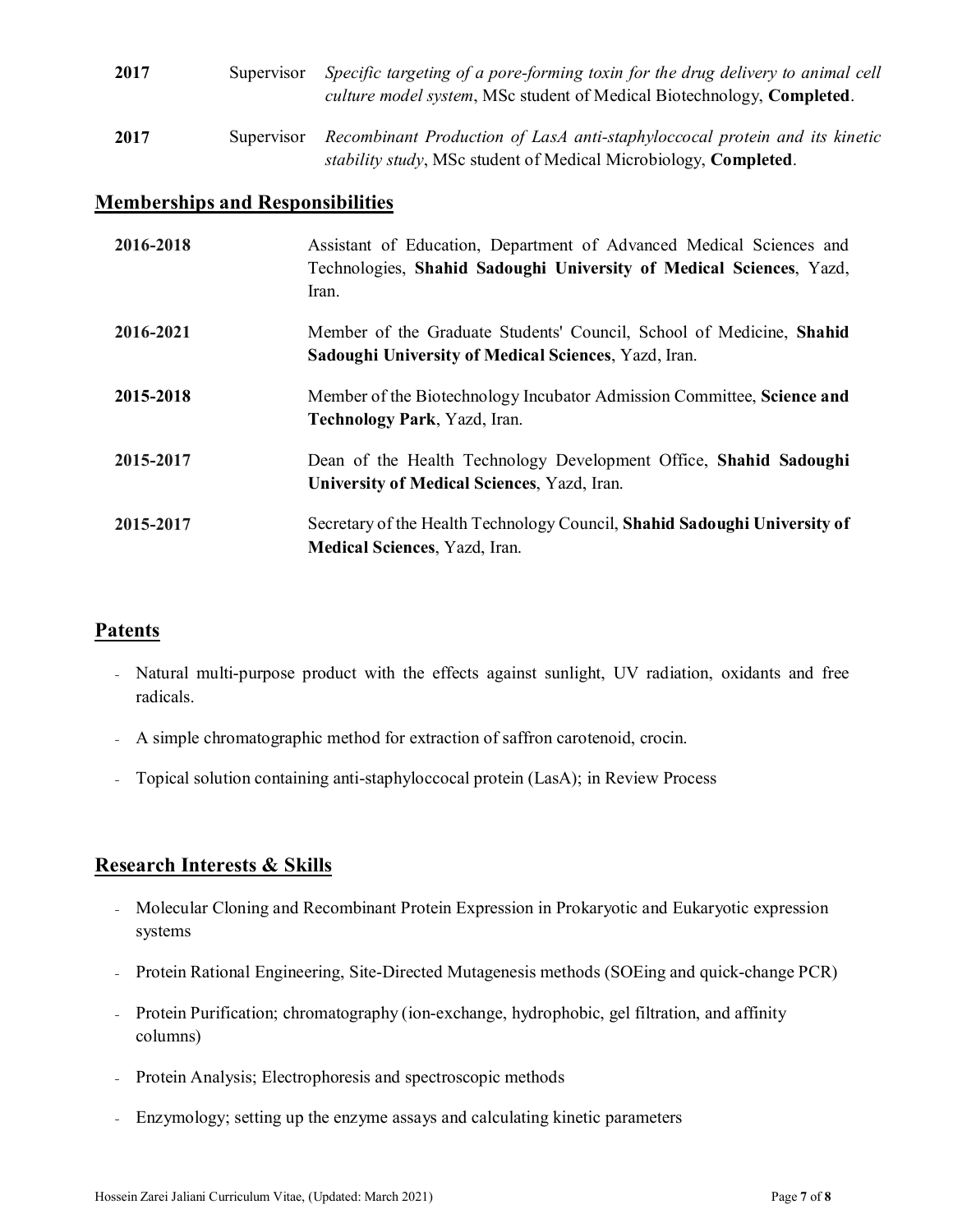| 2017 | Supervisor | Specific targeting of a pore-forming toxin for the drug delivery to animal cell<br><i>culture model system,</i> MSc student of Medical Biotechnology, <b>Completed</b> . |
|------|------------|--------------------------------------------------------------------------------------------------------------------------------------------------------------------------|
| 2017 | Supervisor | Recombinant Production of LasA anti-staphyloccocal protein and its kinetic<br>stability study, MSc student of Medical Microbiology, Completed.                           |

### **Memberships and Responsibilities**

| 2016-2018 | Assistant of Education, Department of Advanced Medical Sciences and<br>Technologies, Shahid Sadoughi University of Medical Sciences, Yazd,<br>Iran. |
|-----------|-----------------------------------------------------------------------------------------------------------------------------------------------------|
| 2016-2021 | Member of the Graduate Students' Council, School of Medicine, Shahid<br>Sadoughi University of Medical Sciences, Yazd, Iran.                        |
| 2015-2018 | Member of the Biotechnology Incubator Admission Committee, Science and<br>Technology Park, Yazd, Iran.                                              |
| 2015-2017 | Dean of the Health Technology Development Office, Shahid Sadoughi<br>University of Medical Sciences, Yazd, Iran.                                    |
| 2015-2017 | Secretary of the Health Technology Council, Shahid Sadoughi University of<br>Medical Sciences, Yazd, Iran.                                          |

#### **Patents**

- Natural multi-purpose product with the effects against sunlight, UV radiation, oxidants and free radicals.
- A simple chromatographic method for extraction of saffron carotenoid, crocin.
- ₋ Topical solution containing anti-staphyloccocal protein (LasA); in Review Process

### **Research Interests & Skills**

- Molecular Cloning and Recombinant Protein Expression in Prokaryotic and Eukaryotic expression systems
- Protein Rational Engineering, Site-Directed Mutagenesis methods (SOEing and quick-change PCR)
- Protein Purification; chromatography (ion-exchange, hydrophobic, gel filtration, and affinity columns)
- Protein Analysis; Electrophoresis and spectroscopic methods
- Enzymology; setting up the enzyme assays and calculating kinetic parameters